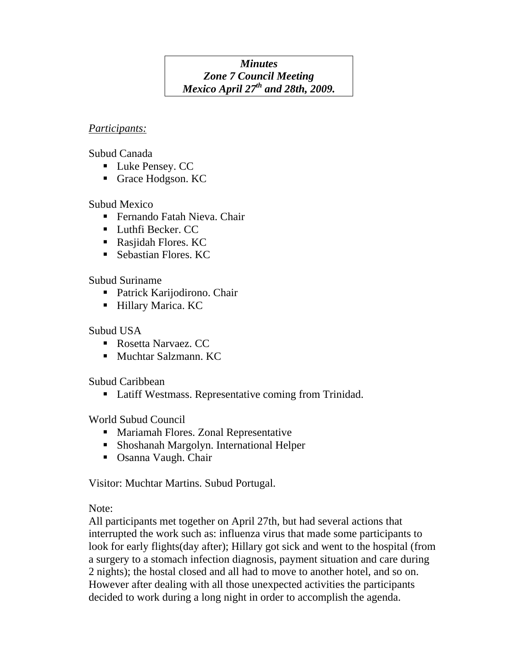#### *Minutes Zone 7 Council Meeting Mexico April 27th and 28th, 2009.*

#### *Participants:*

Subud Canada

- **Luke Pensey. CC**
- Grace Hodgson. KC

# Subud Mexico

- Fernando Fatah Nieva. Chair
- Luthfi Becker. CC
- Rasjidah Flores. KC
- **Sebastian Flores. KC**

# Subud Suriname

- Patrick Karijodirono. Chair
- **Hillary Marica. KC**

# Subud USA

- Rosetta Narvaez. CC
- **Muchtar Salzmann. KC**

Subud Caribbean

■ Latiff Westmass. Representative coming from Trinidad.

# World Subud Council

- **Mariamah Flores. Zonal Representative**
- Shoshanah Margolyn. International Helper
- Osanna Vaugh. Chair

Visitor: Muchtar Martins. Subud Portugal.

Note:

All participants met together on April 27th, but had several actions that interrupted the work such as: influenza virus that made some participants to look for early flights(day after); Hillary got sick and went to the hospital (from a surgery to a stomach infection diagnosis, payment situation and care during 2 nights); the hostal closed and all had to move to another hotel, and so on. However after dealing with all those unexpected activities the participants decided to work during a long night in order to accomplish the agenda.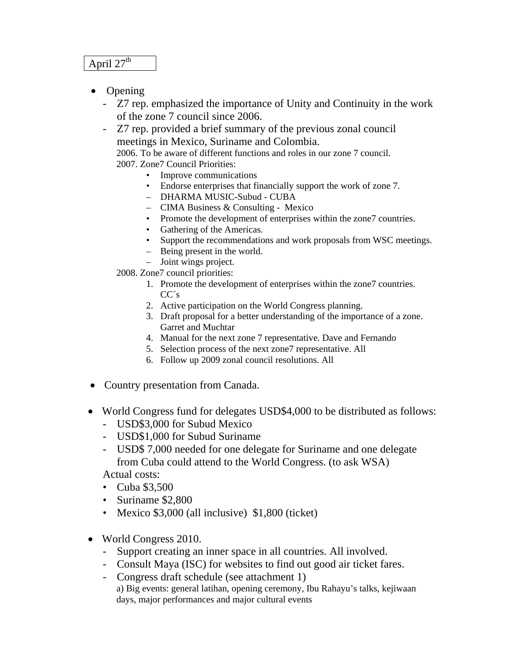#### April  $27<sup>th</sup>$

- Opening
	- Z7 rep. emphasized the importance of Unity and Continuity in the work of the zone 7 council since 2006.
	- Z7 rep. provided a brief summary of the previous zonal council meetings in Mexico, Suriname and Colombia.

 2006. To be aware of different functions and roles in our zone 7 council. 2007. Zone7 Council Priorities:

- Improve communications
- Endorse enterprises that financially support the work of zone 7.
- DHARMA MUSIC-Subud CUBA
- CIMA Business & Consulting Mexico
- Promote the development of enterprises within the zone7 countries.
- Gathering of the Americas.
- Support the recommendations and work proposals from WSC meetings.
- Being present in the world.
- Joint wings project.

2008. Zone7 council priorities:

- 1. Promote the development of enterprises within the zone7 countries. CC´s
- 2. Active participation on the World Congress planning.
- 3. Draft proposal for a better understanding of the importance of a zone. Garret and Muchtar
- 4. Manual for the next zone 7 representative. Dave and Fernando
- 5. Selection process of the next zone7 representative. All
- 6. Follow up 2009 zonal council resolutions. All
- Country presentation from Canada.
- World Congress fund for delegates USD\$4,000 to be distributed as follows:
	- USD\$3,000 for Subud Mexico
	- USD\$1,000 for Subud Suriname
	- USD\$ 7,000 needed for one delegate for Suriname and one delegate from Cuba could attend to the World Congress. (to ask WSA) Actual costs:
	- Cuba \$3,500
	- Suriname \$2,800
	- Mexico \$3,000 (all inclusive) \$1,800 (ticket)
- World Congress 2010.
	- Support creating an inner space in all countries. All involved.
	- Consult Maya (ISC) for websites to find out good air ticket fares.
	- Congress draft schedule (see attachment 1) a) Big events: general latihan, opening ceremony, Ibu Rahayu's talks, kejiwaan days, major performances and major cultural events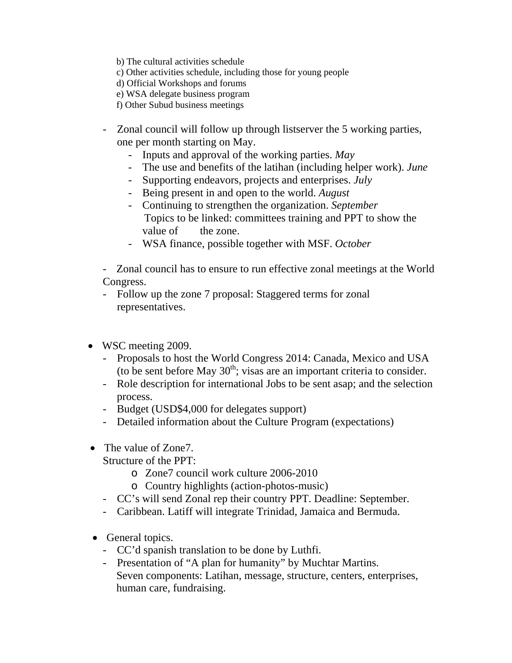- b) The cultural activities schedule
- c) Other activities schedule, including those for young people
- d) Official Workshops and forums
- e) WSA delegate business program
- f) Other Subud business meetings
- Zonal council will follow up through listserver the 5 working parties, one per month starting on May.
	- Inputs and approval of the working parties. *May*
	- The use and benefits of the latihan (including helper work). *June*
	- Supporting endeavors, projects and enterprises. *July*
	- Being present in and open to the world. *August*
	- Continuing to strengthen the organization. *September* Topics to be linked: committees training and PPT to show the value of the zone.
	- WSA finance, possible together with MSF. *October*

- Zonal council has to ensure to run effective zonal meetings at the World Congress.

- Follow up the zone 7 proposal: Staggered terms for zonal representatives.
- WSC meeting 2009.
	- Proposals to host the World Congress 2014: Canada, Mexico and USA (to be sent before May  $30<sup>th</sup>$ ; visas are an important criteria to consider.
	- Role description for international Jobs to be sent asap; and the selection process.
	- Budget (USD\$4,000 for delegates support)
	- Detailed information about the Culture Program (expectations)
- The value of Zone7.

Structure of the PPT:

- o Zone7 council work culture 2006-2010
- o Country highlights (action-photos-music)
- CC's will send Zonal rep their country PPT. Deadline: September.
- Caribbean. Latiff will integrate Trinidad, Jamaica and Bermuda.
- General topics.
	- CC'd spanish translation to be done by Luthfi.
	- Presentation of "A plan for humanity" by Muchtar Martins. Seven components: Latihan, message, structure, centers, enterprises, human care, fundraising.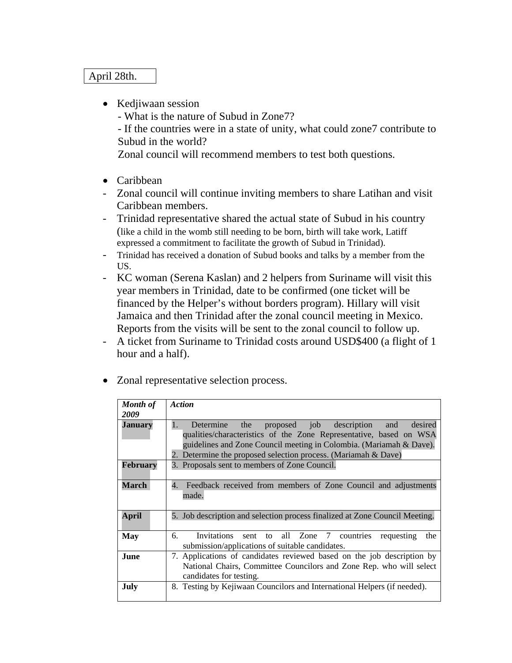#### April 28th.

• Kedjiwaan session

- What is the nature of Subud in Zone7?

- If the countries were in a state of unity, what could zone7 contribute to Subud in the world?

Zonal council will recommend members to test both questions.

- Caribbean
- Zonal council will continue inviting members to share Latihan and visit Caribbean members.
- Trinidad representative shared the actual state of Subud in his country (like a child in the womb still needing to be born, birth will take work, Latiff expressed a commitment to facilitate the growth of Subud in Trinidad).
- Trinidad has received a donation of Subud books and talks by a member from the US.
- KC woman (Serena Kaslan) and 2 helpers from Suriname will visit this year members in Trinidad, date to be confirmed (one ticket will be financed by the Helper's without borders program). Hillary will visit Jamaica and then Trinidad after the zonal council meeting in Mexico. Reports from the visits will be sent to the zonal council to follow up.
- A ticket from Suriname to Trinidad costs around USD\$400 (a flight of 1 hour and a half).
- Zonal representative selection process.

| <b>Month of</b> | <b>Action</b>                                                                                                                                                                                                                                                                    |
|-----------------|----------------------------------------------------------------------------------------------------------------------------------------------------------------------------------------------------------------------------------------------------------------------------------|
| 2009            |                                                                                                                                                                                                                                                                                  |
| Januarv         | proposed job description and<br>1.<br>the<br>Determine<br>desired<br>qualities/characteristics of the Zone Representative, based on WSA<br>guidelines and Zone Council meeting in Colombia. (Mariamah & Dave).<br>2. Determine the proposed selection process. (Mariamah & Dave) |
| <b>February</b> | 3. Proposals sent to members of Zone Council.                                                                                                                                                                                                                                    |
| March           | 4.<br>Feedback received from members of Zone Council and adjustments<br>made.                                                                                                                                                                                                    |
| <b>April</b>    | 5. Job description and selection process finalized at Zone Council Meeting.                                                                                                                                                                                                      |
| <b>May</b>      | sent to all Zone 7 countries<br>б.<br><i>Invitations</i><br>requesting<br>the<br>submission/applications of suitable candidates.                                                                                                                                                 |
| <b>June</b>     | 7. Applications of candidates reviewed based on the job description by<br>National Chairs, Committee Councilors and Zone Rep. who will select<br>candidates for testing.                                                                                                         |
| July            | 8. Testing by Kejiwaan Councilors and International Helpers (if needed).                                                                                                                                                                                                         |